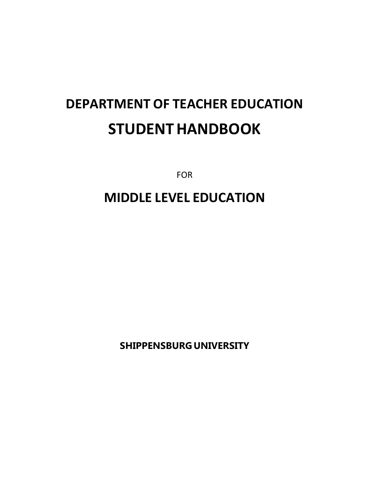# **DEPARTMENT OF TEACHER EDUCATION STUDENTHANDBOOK**

FOR

## **MIDDLE LEVEL EDUCATION**

**SHIPPENSBURG UNIVERSITY**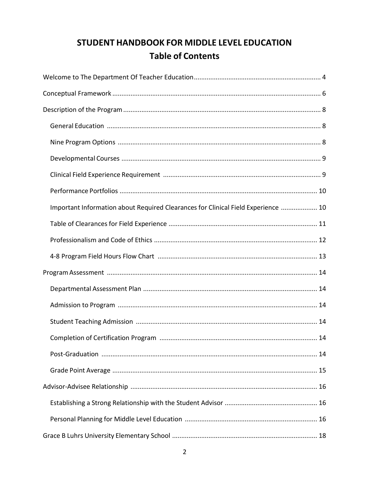### STUDENT HANDBOOK FOR MIDDLE LEVEL EDUCATION **Table of Contents**

| Important Information about Required Clearances for Clinical Field Experience  10 |
|-----------------------------------------------------------------------------------|
|                                                                                   |
|                                                                                   |
|                                                                                   |
|                                                                                   |
|                                                                                   |
|                                                                                   |
|                                                                                   |
|                                                                                   |
|                                                                                   |
|                                                                                   |
|                                                                                   |
|                                                                                   |
|                                                                                   |
|                                                                                   |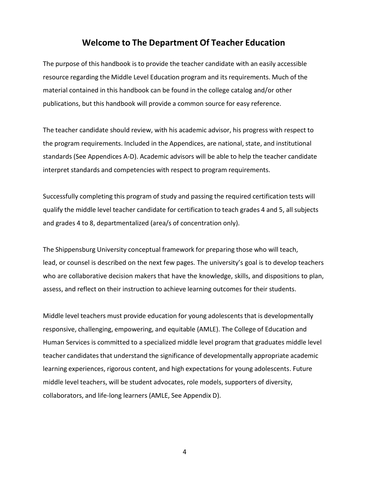#### **Welcome to The Department Of Teacher Education**

<span id="page-3-0"></span>The purpose of this handbook is to provide the teacher candidate with an easily accessible resource regarding the Middle Level Education program and its requirements. Much of the material contained in this handbook can be found in the college catalog and/or other publications, but this handbook will provide a common source for easy reference.

The teacher candidate should review, with his academic advisor, his progress with respect to the program requirements. Included in the Appendices, are national, state, and institutional standards (See Appendices A-D). Academic advisors will be able to help the teacher candidate interpret standards and competencies with respect to program requirements.

Successfully completing this program of study and passing the required certification tests will qualify the middle level teacher candidate for certification to teach grades 4 and 5, all subjects and grades 4 to 8, departmentalized (area/s of concentration only).

The Shippensburg University conceptual framework for preparing those who will teach, lead, or counsel is described on the next few pages. The university's goal is to develop teachers who are collaborative decision makers that have the knowledge, skills, and dispositions to plan, assess, and reflect on their instruction to achieve learning outcomes for their students.

Middle level teachers must provide education for young adolescents that is developmentally responsive, challenging, empowering, and equitable (AMLE). The College of Education and Human Services is committed to a specialized middle level program that graduates middle level teacher candidates that understand the significance of developmentally appropriate academic learning experiences, rigorous content, and high expectations for young adolescents. Future middle level teachers, will be student advocates, role models, supporters of diversity, collaborators, and life-long learners (AMLE, See Appendix D).

4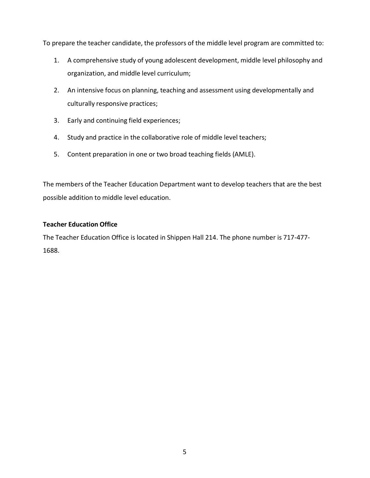To prepare the teacher candidate, the professors of the middle level program are committed to:

- 1. A comprehensive study of young adolescent development, middle level philosophy and organization, and middle level curriculum;
- 2. An intensive focus on planning, teaching and assessment using developmentally and culturally responsive practices;
- 3. Early and continuing field experiences;
- 4. Study and practice in the collaborative role of middle level teachers;
- 5. Content preparation in one or two broad teaching fields (AMLE).

The members of the Teacher Education Department want to develop teachers that are the best possible addition to middle level education.

#### **Teacher Education Office**

The Teacher Education Office is located in Shippen Hall 214. The phone number is 717-477- 1688.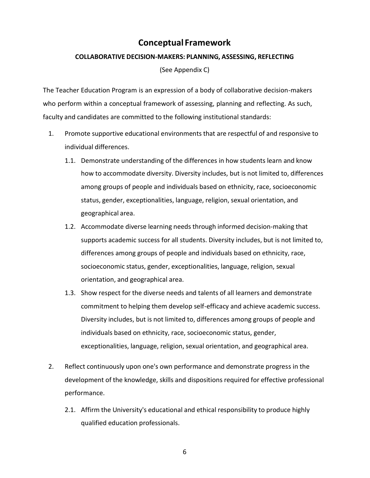### **Conceptual Framework**

#### <span id="page-5-0"></span>**COLLABORATIVE DECISION-MAKERS: PLANNING, ASSESSING, REFLECTING**

(See Appendix C)

The Teacher Education Program is an expression of a body of collaborative decision-makers who perform within a conceptual framework of assessing, planning and reflecting. As such, faculty and candidates are committed to the following institutional standards:

- 1. Promote supportive educational environments that are respectful of and responsive to individual differences.
	- 1.1. Demonstrate understanding of the differences in how students learn and know how to accommodate diversity. Diversity includes, but is not limited to, differences among groups of people and individuals based on ethnicity, race, socioeconomic status, gender, exceptionalities, language, religion, sexual orientation, and geographical area.
	- 1.2. Accommodate diverse learning needs through informed decision-making that supports academic success for all students. Diversity includes, but is not limited to, differences among groups of people and individuals based on ethnicity, race, socioeconomic status, gender, exceptionalities, language, religion, sexual orientation, and geographical area.
	- 1.3. Show respect for the diverse needs and talents of all learners and demonstrate commitment to helping them develop self-efficacy and achieve academic success. Diversity includes, but is not limited to, differences among groups of people and individuals based on ethnicity, race, socioeconomic status, gender, exceptionalities, language, religion, sexual orientation, and geographical area.
- 2. Reflect continuously upon one's own performance and demonstrate progress in the development of the knowledge, skills and dispositions required for effective professional performance.
	- 2.1. Affirm the University's educational and ethical responsibility to produce highly qualified education professionals.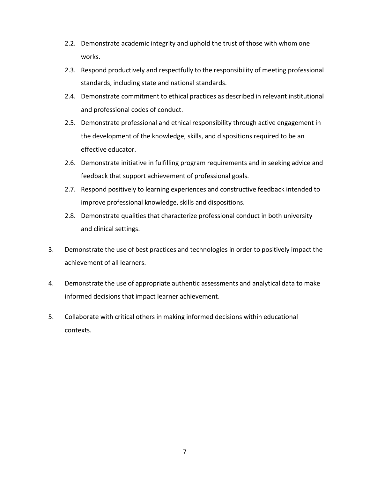- 2.2. Demonstrate academic integrity and uphold the trust of those with whom one works.
- 2.3. Respond productively and respectfully to the responsibility of meeting professional standards, including state and national standards.
- 2.4. Demonstrate commitment to ethical practices as described in relevant institutional and professional codes of conduct.
- 2.5. Demonstrate professional and ethical responsibility through active engagement in the development of the knowledge, skills, and dispositions required to be an effective educator.
- 2.6. Demonstrate initiative in fulfilling program requirements and in seeking advice and feedback that support achievement of professional goals.
- 2.7. Respond positively to learning experiences and constructive feedback intended to improve professional knowledge, skills and dispositions.
- 2.8. Demonstrate qualities that characterize professional conduct in both university and clinical settings.
- 3. Demonstrate the use of best practices and technologies in order to positively impact the achievement of all learners.
- 4. Demonstrate the use of appropriate authentic assessments and analytical data to make informed decisions that impact learner achievement.
- 5. Collaborate with critical others in making informed decisions within educational contexts.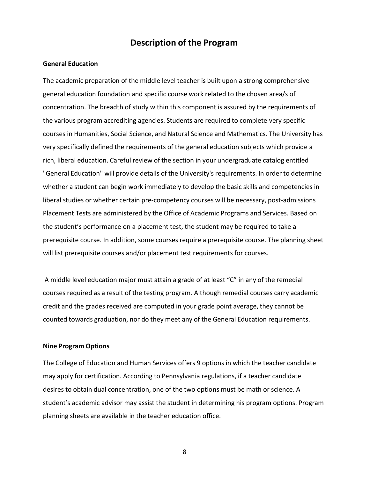#### **Description of the Program**

#### <span id="page-7-1"></span><span id="page-7-0"></span>**General Education**

The academic preparation of the middle level teacher is built upon a strong comprehensive general education foundation and specific course work related to the chosen area/s of concentration. The breadth of study within this component is assured by the requirements of the various program accrediting agencies. Students are required to complete very specific courses in Humanities, Social Science, and Natural Science and Mathematics. The University has very specifically defined the requirements of the general education subjects which provide a rich, liberal education. Careful review of the section in your undergraduate catalog entitled "General Education" will provide details of the University's requirements. In order to determine whether a student can begin work immediately to develop the basic skills and competencies in liberal studies or whether certain pre-competency courses will be necessary, post-admissions Placement Tests are administered by the Office of Academic Programs and Services. Based on the student's performance on a placement test, the student may be required to take a prerequisite course. In addition, some courses require a prerequisite course. The planning sheet will list prerequisite courses and/or placement test requirements for courses.

A middle level education major must attain a grade of at least "C" in any of the remedial courses required as a result of the testing program. Although remedial courses carry academic credit and the grades received are computed in your grade point average, they cannot be counted towards graduation, nor do they meet any of the General Education requirements.

#### <span id="page-7-2"></span>**Nine Program Options**

The College of Education and Human Services offers 9 options in which the teacher candidate may apply for certification. According to Pennsylvania regulations, if a teacher candidate desires to obtain dual concentration, one of the two options must be math or science. A student's academic advisor may assist the student in determining his program options. Program planning sheets are available in the teacher education office.

8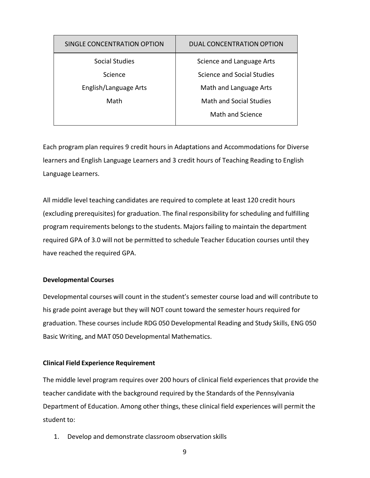| SINGLE CONCENTRATION OPTION | <b>DUAL CONCENTRATION OPTION</b> |
|-----------------------------|----------------------------------|
| Social Studies              | Science and Language Arts        |
| Science                     | Science and Social Studies       |
| English/Language Arts       | Math and Language Arts           |
| Math                        | <b>Math and Social Studies</b>   |
|                             | Math and Science                 |

Each program plan requires 9 credit hours in Adaptations and Accommodations for Diverse learners and English Language Learners and 3 credit hours of Teaching Reading to English Language Learners.

All middle level teaching candidates are required to complete at least 120 credit hours (excluding prerequisites) for graduation. The final responsibility for scheduling and fulfilling program requirements belongs to the students. Majors failing to maintain the department required GPA of 3.0 will not be permitted to schedule Teacher Education courses until they have reached the required GPA.

#### <span id="page-8-0"></span>**Developmental Courses**

Developmental courses will count in the student's semester course load and will contribute to his grade point average but they will NOT count toward the semester hours required for graduation. These courses include RDG 050 Developmental Reading and Study Skills, ENG 050 Basic Writing, and MAT 050 Developmental Mathematics.

#### <span id="page-8-1"></span>**Clinical Field Experience Requirement**

The middle level program requires over 200 hours of clinical field experiences that provide the teacher candidate with the background required by the Standards of the Pennsylvania Department of Education. Among other things, these clinical field experiences will permit the student to:

1. Develop and demonstrate classroom observation skills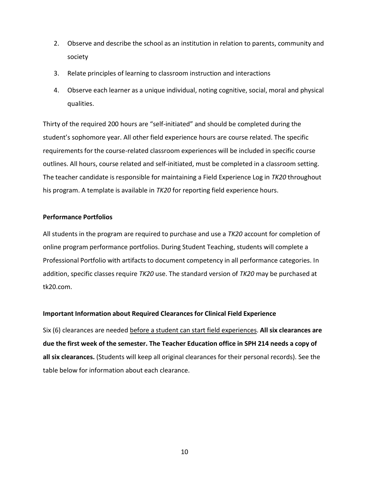- 2. Observe and describe the school as an institution in relation to parents, community and society
- 3. Relate principles of learning to classroom instruction and interactions
- 4. Observe each learner as a unique individual, noting cognitive, social, moral and physical qualities.

Thirty of the required 200 hours are "self-initiated" and should be completed during the student's sophomore year. All other field experience hours are course related. The specific requirements for the course-related classroom experiences will be included in specific course outlines. All hours, course related and self-initiated, must be completed in a classroom setting. The teacher candidate is responsible for maintaining a Field Experience Log in *TK20* throughout his program. A template is available in *TK20* for reporting field experience hours.

#### <span id="page-9-0"></span>**Performance Portfolios**

All students in the program are required to purchase and use a *TK20* account for completion of online program performance portfolios. During Student Teaching, students will complete a Professional Portfolio with artifacts to document competency in all performance categories. In addition, specific classes require *TK20* use. The standard version of *TK20* may be purchased at tk20.com.

#### <span id="page-9-1"></span>**Important Information about Required Clearances for Clinical Field Experience**

Six (6) clearances are needed before a student can start field experiences. **All six clearances are due the first week of the semester. The Teacher Education office in SPH 214 needs a copy of all six clearances.** (Students will keep all original clearances for their personal records). See the table below for information about each clearance.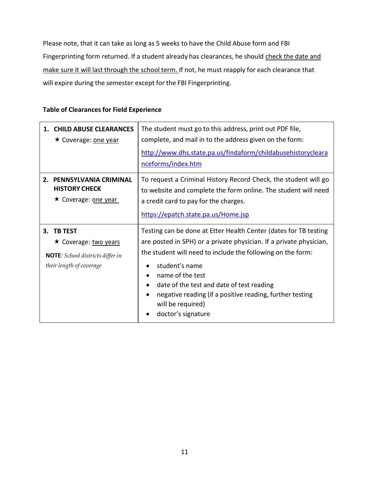Please note, that it can take as long as 5 weeks to have the Child Abuse form and FBI Fingerprinting form returned. If a student already has clearances, he should check the date and make sure it will last through the school term. If not, he must reapply for each clearance that will expire during the semester except for the FBI Fingerprinting.

#### <span id="page-10-0"></span>**Table of Clearances for Field Experience**

| 1. CHILD ABUSE CLEARANCES<br>★ Coverage: <u>one year</u>                                                   | The student must go to this address, print out PDF file,<br>complete, and mail in to the address given on the form:<br>http://www.dhs.state.pa.us/findaform/childabusehistorycleara<br>nceforms/index.htm                                                                                                                                                                                                                      |  |
|------------------------------------------------------------------------------------------------------------|--------------------------------------------------------------------------------------------------------------------------------------------------------------------------------------------------------------------------------------------------------------------------------------------------------------------------------------------------------------------------------------------------------------------------------|--|
| 2. PENNSYLVANIA CRIMINAL<br><b>HISTORY CHECK</b><br>★ Coverage: one year                                   | To request a Criminal History Record Check, the student will go<br>to website and complete the form online. The student will need<br>a credit card to pay for the charges.<br>https://epatch.state.pa.us/Home.jsp                                                                                                                                                                                                              |  |
| 3. TB TEST<br>★ Coverage: two years<br><b>NOTE:</b> School districts differ in<br>their length of coverage | Testing can be done at Etter Health Center (dates for TB testing<br>are posted in SPH) or a private physician. If a private physician,<br>the student will need to include the following on the form:<br>student's name<br>name of the test<br>٠<br>date of the test and date of test reading<br>$\bullet$<br>negative reading (if a positive reading, further testing<br>$\bullet$<br>will be required)<br>doctor's signature |  |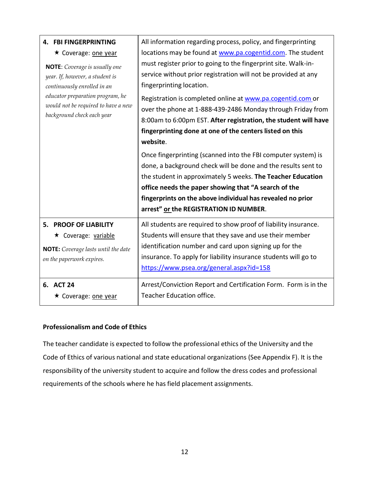| <b>4. FBI FINGERPRINTING</b><br>★ Coverage: one year<br><b>NOTE:</b> Coverage is usually one<br>year. If, however, a student is<br>continuously enrolled in an<br>educator preparation program, he<br>would not be required to have a new<br>background check each year | All information regarding process, policy, and fingerprinting<br>locations may be found at www.pa.cogentid.com. The student<br>must register prior to going to the fingerprint site. Walk-in-<br>service without prior registration will not be provided at any<br>fingerprinting location.<br>Registration is completed online at www.pa.cogentid.com or<br>over the phone at 1-888-439-2486 Monday through Friday from<br>8:00am to 6:00pm EST. After registration, the student will have<br>fingerprinting done at one of the centers listed on this<br>website.<br>Once fingerprinting (scanned into the FBI computer system) is<br>done, a background check will be done and the results sent to<br>the student in approximately 5 weeks. The Teacher Education<br>office needs the paper showing that "A search of the<br>fingerprints on the above individual has revealed no prior<br>arrest" or the REGISTRATION ID NUMBER. |
|-------------------------------------------------------------------------------------------------------------------------------------------------------------------------------------------------------------------------------------------------------------------------|--------------------------------------------------------------------------------------------------------------------------------------------------------------------------------------------------------------------------------------------------------------------------------------------------------------------------------------------------------------------------------------------------------------------------------------------------------------------------------------------------------------------------------------------------------------------------------------------------------------------------------------------------------------------------------------------------------------------------------------------------------------------------------------------------------------------------------------------------------------------------------------------------------------------------------------|
| 5. PROOF OF LIABILITY<br>★ Coverage: variable<br><b>NOTE:</b> Coverage lasts until the date<br>on the paperwork expires.                                                                                                                                                | All students are required to show proof of liability insurance.<br>Students will ensure that they save and use their member<br>identification number and card upon signing up for the<br>insurance. To apply for liability insurance students will go to<br>https://www.psea.org/general.aspx?id=158                                                                                                                                                                                                                                                                                                                                                                                                                                                                                                                                                                                                                                 |
| 6. ACT 24<br>★ Coverage: <u>one year</u>                                                                                                                                                                                                                                | Arrest/Conviction Report and Certification Form. Form is in the<br>Teacher Education office.                                                                                                                                                                                                                                                                                                                                                                                                                                                                                                                                                                                                                                                                                                                                                                                                                                         |

#### <span id="page-11-0"></span>**Professionalism and Code of Ethics**

The teacher candidate is expected to follow the professional ethics of the University and the Code of Ethics of various national and state educational organizations (See Appendix F). It is the responsibility of the university student to acquire and follow the dress codes and professional requirements of the schools where he has field placement assignments.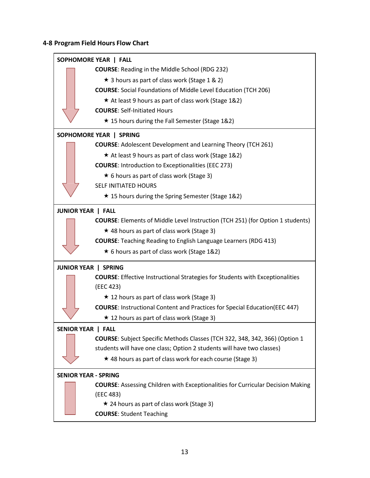#### <span id="page-12-0"></span>**4-8 Program Field Hours Flow Chart**

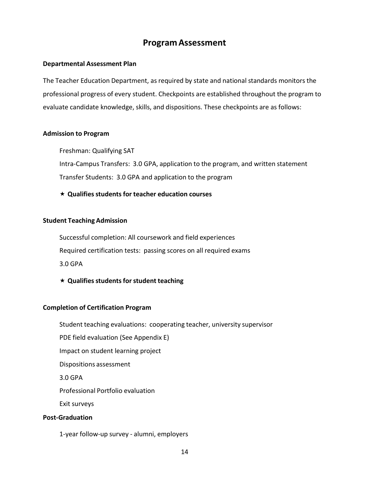#### **ProgramAssessment**

#### <span id="page-13-1"></span><span id="page-13-0"></span>**Departmental Assessment Plan**

The Teacher Education Department, as required by state and national standards monitors the professional progress of every student. Checkpoints are established throughout the program to evaluate candidate knowledge, skills, and dispositions. These checkpoints are as follows:

#### <span id="page-13-2"></span>**Admission to Program**

Freshman: Qualifying SAT Intra-Campus Transfers: 3.0 GPA, application to the program, and written statement Transfer Students: 3.0 GPA and application to the program

**Qualifiesstudents for teacher education courses**

#### <span id="page-13-3"></span>**Student Teaching Admission**

Successful completion: All coursework and field experiences Required certification tests: passing scores on all required exams 3.0 GPA

**★ Qualifies students for student teaching** 

#### <span id="page-13-4"></span>**Completion of Certification Program**

Student teaching evaluations: cooperating teacher, university supervisor PDE field evaluation (See Appendix E) Impact on student learning project Dispositions assessment 3.0 GPA Professional Portfolio evaluation Exit surveys **Post-Graduation**

<span id="page-13-5"></span>1-year follow-up survey - alumni, employers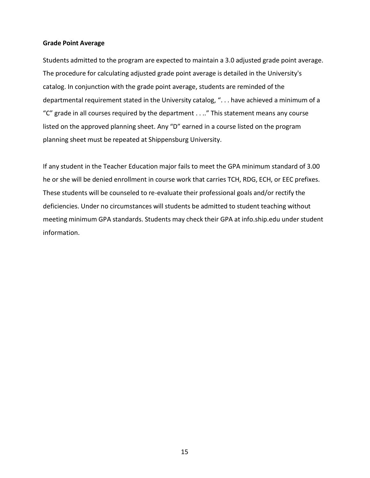#### <span id="page-14-0"></span>**Grade Point Average**

Students admitted to the program are expected to maintain a 3.0 adjusted grade point average. The procedure for calculating adjusted grade point average is detailed in the University's catalog. In conjunction with the grade point average, students are reminded of the departmental requirement stated in the University catalog, ". . . have achieved a minimum of a "C" grade in all courses required by the department . . .." This statement means any course listed on the approved planning sheet. Any "D" earned in a course listed on the program planning sheet must be repeated at Shippensburg University.

If any student in the Teacher Education major fails to meet the GPA minimum standard of 3.00 he or she will be denied enrollment in course work that carries TCH, RDG, ECH, or EEC prefixes. These students will be counseled to re-evaluate their professional goals and/or rectify the deficiencies. Under no circumstances will students be admitted to student teaching without meeting minimum GPA standards. Students may check their GPA at info.ship.edu under student information.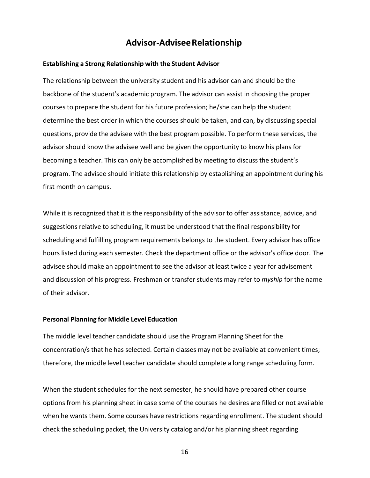#### **Advisor-AdviseeRelationship**

#### <span id="page-15-1"></span><span id="page-15-0"></span>**Establishing a Strong Relationship with the Student Advisor**

The relationship between the university student and his advisor can and should be the backbone of the student's academic program. The advisor can assist in choosing the proper courses to prepare the student for his future profession; he/she can help the student determine the best order in which the courses should be taken, and can, by discussing special questions, provide the advisee with the best program possible. To perform these services, the advisor should know the advisee well and be given the opportunity to know his plans for becoming a teacher. This can only be accomplished by meeting to discuss the student's program. The advisee should initiate this relationship by establishing an appointment during his first month on campus.

While it is recognized that it is the responsibility of the advisor to offer assistance, advice, and suggestions relative to scheduling, it must be understood that the final responsibility for scheduling and fulfilling program requirements belongs to the student. Every advisor has office hours listed during each semester. Check the department office or the advisor's office door. The advisee should make an appointment to see the advisor at least twice a year for advisement and discussion of his progress. Freshman or transfer students may refer to *myship* for the name of their advisor.

#### <span id="page-15-2"></span>**Personal Planning for Middle Level Education**

The middle level teacher candidate should use the Program Planning Sheet for the concentration/sthat he has selected. Certain classes may not be available at convenient times; therefore, the middle level teacher candidate should complete a long range scheduling form.

When the student schedules for the next semester, he should have prepared other course options from his planning sheet in case some of the courses he desires are filled or not available when he wants them. Some courses have restrictions regarding enrollment. The student should check the scheduling packet, the University catalog and/or his planning sheet regarding

16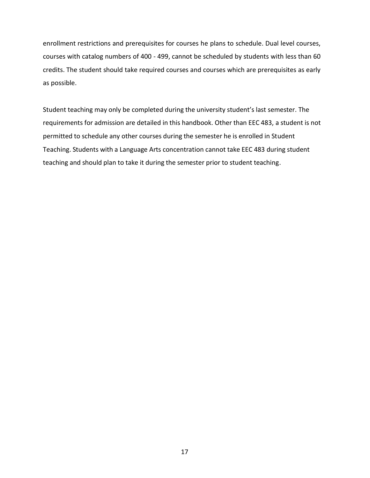enrollment restrictions and prerequisites for courses he plans to schedule. Dual level courses, courses with catalog numbers of 400 - 499, cannot be scheduled by students with less than 60 credits. The student should take required courses and courses which are prerequisites as early as possible.

Student teaching may only be completed during the university student's last semester. The requirements for admission are detailed in this handbook. Other than EEC 483, a student is not permitted to schedule any other courses during the semester he is enrolled in Student Teaching. Students with a Language Arts concentration cannot take EEC 483 during student teaching and should plan to take it during the semester prior to student teaching.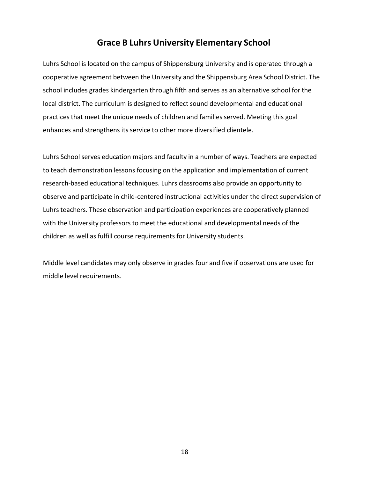### **Grace B Luhrs University Elementary School**

<span id="page-17-0"></span>Luhrs School is located on the campus of Shippensburg University and is operated through a cooperative agreement between the University and the Shippensburg Area School District. The school includes grades kindergarten through fifth and serves as an alternative school for the local district. The curriculum is designed to reflect sound developmental and educational practices that meet the unique needs of children and families served. Meeting this goal enhances and strengthens its service to other more diversified clientele.

Luhrs School serves education majors and faculty in a number of ways. Teachers are expected to teach demonstration lessons focusing on the application and implementation of current research-based educational techniques. Luhrs classrooms also provide an opportunity to observe and participate in child-centered instructional activities under the direct supervision of Luhrs teachers. These observation and participation experiences are cooperatively planned with the University professors to meet the educational and developmental needs of the children as well as fulfill course requirements for University students.

Middle level candidates may only observe in grades four and five if observations are used for middle level requirements.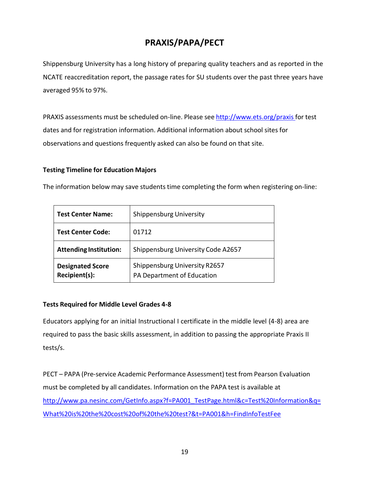### **PRAXIS/PAPA/PECT**

<span id="page-18-0"></span>Shippensburg University has a long history of preparing quality teachers and as reported in the NCATE reaccreditation report, the passage rates for SU students over the past three years have averaged 95% to 97%.

PRAXIS assessments must be scheduled on-line. Please see <http://www.ets.org/praxis> for test dates and for registration information. Additional information about school sites for observations and questions frequently asked can also be found on that site.

#### **Testing Timeline for Education Majors**

The information below may save students time completing the form when registering on-line:

| <b>Test Center Name:</b>                 | <b>Shippensburg University</b>                              |  |
|------------------------------------------|-------------------------------------------------------------|--|
| <b>Test Center Code:</b>                 | 01712                                                       |  |
| <b>Attending Institution:</b>            | Shippensburg University Code A2657                          |  |
| <b>Designated Score</b><br>Recipient(s): | Shippensburg University R2657<br>PA Department of Education |  |

#### **Tests Required for Middle Level Grades 4-8**

Educators applying for an initial Instructional I certificate in the middle level (4-8) area are required to pass the basic skills assessment, in addition to passing the appropriate Praxis II tests/s.

PECT – PAPA (Pre-service Academic Performance Assessment) test from Pearson Evaluation must be completed by all candidates. Information on the PAPA test is available at [http://www.pa.nesinc.com/GetInfo.aspx?f=PA001\\_TestPage.html&c=Test%20Information&q=](http://www.pa.nesinc.com/GetInfo.aspx?f=PA001_TestPage.html&c=Test%20Information&q=What%20is%20the%20cost%20of%20the%20test?&t=PA001&h=FindInfoTestFee) [What%20is%20the%20cost%20of%20the%20test?&t=PA001&h=FindInfoTestFee](http://www.pa.nesinc.com/GetInfo.aspx?f=PA001_TestPage.html&c=Test%20Information&q=What%20is%20the%20cost%20of%20the%20test?&t=PA001&h=FindInfoTestFee)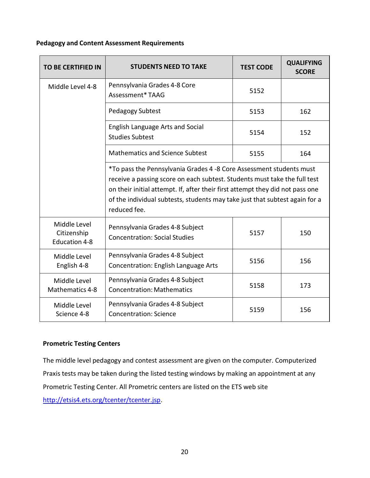#### **Pedagogy and Content Assessment Requirements**

| <b>TO BE CERTIFIED IN</b>                    | <b>STUDENTS NEED TO TAKE</b>                                                                                                                                                                                                                                                                                                     | <b>TEST CODE</b> | <b>QUALIFYING</b><br><b>SCORE</b> |
|----------------------------------------------|----------------------------------------------------------------------------------------------------------------------------------------------------------------------------------------------------------------------------------------------------------------------------------------------------------------------------------|------------------|-----------------------------------|
| Middle Level 4-8                             | Pennsylvania Grades 4-8 Core<br>Assessment* TAAG                                                                                                                                                                                                                                                                                 | 5152             |                                   |
|                                              | Pedagogy Subtest                                                                                                                                                                                                                                                                                                                 | 5153             | 162                               |
|                                              | English Language Arts and Social<br><b>Studies Subtest</b>                                                                                                                                                                                                                                                                       | 5154             | 152                               |
|                                              | <b>Mathematics and Science Subtest</b><br>5155                                                                                                                                                                                                                                                                                   |                  | 164                               |
|                                              | *To pass the Pennsylvania Grades 4 -8 Core Assessment students must<br>receive a passing score on each subtest. Students must take the full test<br>on their initial attempt. If, after their first attempt they did not pass one<br>of the individual subtests, students may take just that subtest again for a<br>reduced fee. |                  |                                   |
| Middle Level<br>Citizenship<br>Education 4-8 | Pennsylvania Grades 4-8 Subject<br><b>Concentration: Social Studies</b>                                                                                                                                                                                                                                                          | 5157             | 150                               |
| Middle Level<br>English 4-8                  | Pennsylvania Grades 4-8 Subject<br>Concentration: English Language Arts                                                                                                                                                                                                                                                          | 5156             | 156                               |
| Middle Level<br>Mathematics 4-8              | Pennsylvania Grades 4-8 Subject<br><b>Concentration: Mathematics</b>                                                                                                                                                                                                                                                             | 5158             | 173                               |
| Middle Level<br>Science 4-8                  | Pennsylvania Grades 4-8 Subject<br><b>Concentration: Science</b>                                                                                                                                                                                                                                                                 | 5159             | 156                               |

#### **Prometric Testing Centers**

The middle level pedagogy and contest assessment are given on the computer. Computerized Praxis tests may be taken during the listed testing windows by making an appointment at any Prometric Testing Center. All Prometric centers are listed on the ETS web site [http://etsis4.ets.org/tcenter/tcenter.jsp.](http://etsis4.ets.org/tcenter/tcenter.jsp)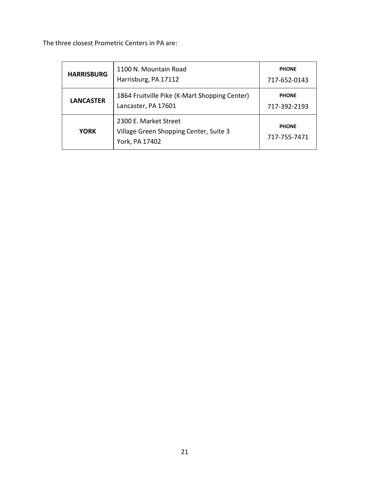The three closest Prometric Centers in PA are:

| <b>HARRISBURG</b> | 1100 N. Mountain Road<br>Harrisburg, PA 17112                                     | <b>PHONE</b><br>717-652-0143 |
|-------------------|-----------------------------------------------------------------------------------|------------------------------|
| <b>LANCASTER</b>  | 1864 Fruitville Pike (K-Mart Shopping Center)<br>Lancaster, PA 17601              | <b>PHONE</b><br>717-392-2193 |
| <b>YORK</b>       | 2300 E. Market Street<br>Village Green Shopping Center, Suite 3<br>York, PA 17402 | <b>PHONE</b><br>717-755-7471 |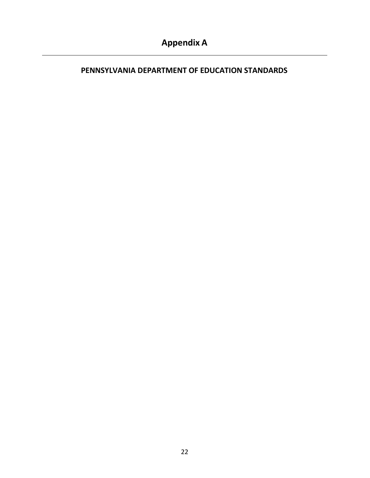#### <span id="page-21-0"></span>**PENNSYLVANIA DEPARTMENT OF EDUCATION STANDARDS**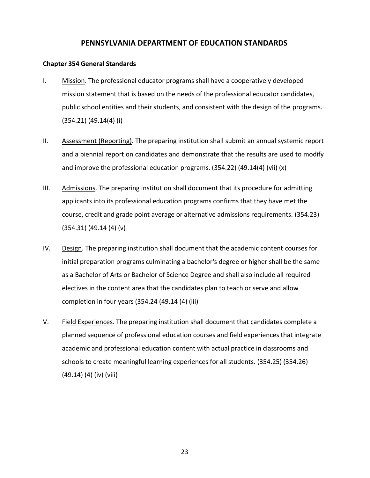#### **PENNSYLVANIA DEPARTMENT OF EDUCATION STANDARDS**

#### **Chapter 354 General Standards**

- I. Mission. The professional educator programs shall have a cooperatively developed mission statement that is based on the needs of the professional educator candidates, public school entities and their students, and consistent with the design of the programs. (354.21) (49.14(4) (i)
- II. Assessment (Reporting)*.* The preparing institution shall submit an annual systemic report and a biennial report on candidates and demonstrate that the results are used to modify and improve the professional education programs. (354.22) (49.14(4) (vii) (x)
- III. Admissions. The preparing institution shall document that its procedure for admitting applicants into its professional education programs confirms that they have met the course, credit and grade point average or alternative admissions requirements. (354.23) (354.31) (49.14 (4) (v)
- IV. Design. The preparing institution shall document that the academic content courses for initial preparation programs culminating a bachelor's degree or higher shall be the same as a Bachelor of Arts or Bachelor of Science Degree and shall also include all required electives in the content area that the candidates plan to teach or serve and allow completion in four years(354.24 (49.14 (4) (iii)
- V. Field Experiences. The preparing institution shall document that candidates complete a planned sequence of professional education courses and field experiences that integrate academic and professional education content with actual practice in classrooms and schools to create meaningful learning experiences for all students. (354.25) (354.26) (49.14) (4) (iv) (viii)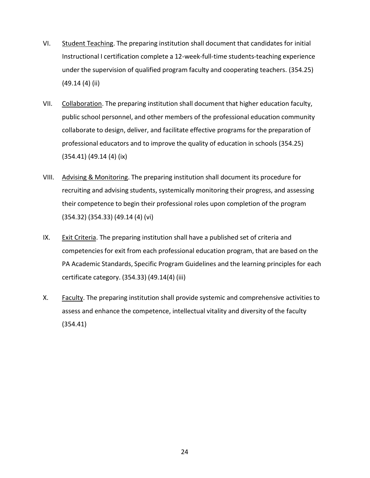- VI. Student Teaching. The preparing institution shall document that candidates for initial Instructional I certification complete a 12-week-full-time students-teaching experience under the supervision of qualified program faculty and cooperating teachers. (354.25) (49.14 (4) (ii)
- VII. Collaboration. The preparing institution shall document that higher education faculty, public school personnel, and other members of the professional education community collaborate to design, deliver, and facilitate effective programs for the preparation of professional educators and to improve the quality of education in schools (354.25) (354.41) (49.14 (4) (ix)
- VIII. Advising & Monitoring. The preparing institution shall document its procedure for recruiting and advising students, systemically monitoring their progress, and assessing their competence to begin their professional roles upon completion of the program (354.32) (354.33) (49.14 (4) (vi)
- IX. Exit Criteria. The preparing institution shall have a published set of criteria and competencies for exit from each professional education program, that are based on the PA Academic Standards, Specific Program Guidelines and the learning principles for each certificate category. (354.33) (49.14(4) (iii)
- X. Faculty. The preparing institution shall provide systemic and comprehensive activities to assess and enhance the competence, intellectual vitality and diversity of the faculty (354.41)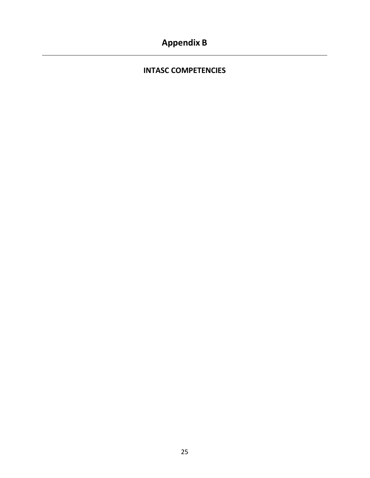### <span id="page-24-0"></span>**Appendix B**

#### **INTASC COMPETENCIES**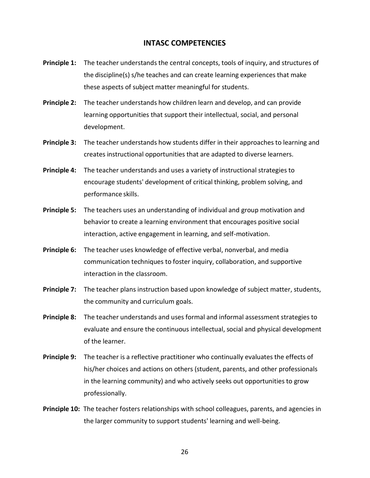#### **INTASC COMPETENCIES**

- **Principle 1:** The teacher understands the central concepts, tools of inquiry, and structures of the discipline(s) s/he teaches and can create learning experiences that make these aspects of subject matter meaningful for students.
- **Principle 2:** The teacher understands how children learn and develop, and can provide learning opportunities that support their intellectual, social, and personal development.
- **Principle 3:** The teacher understands how students differ in their approaches to learning and creates instructional opportunities that are adapted to diverse learners.
- **Principle 4:** The teacher understands and uses a variety of instructional strategies to encourage students' development of critical thinking, problem solving, and performance skills.
- **Principle 5:** The teachers uses an understanding of individual and group motivation and behavior to create a learning environment that encourages positive social interaction, active engagement in learning, and self-motivation.
- **Principle 6:** The teacher uses knowledge of effective verbal, nonverbal, and media communication techniques to foster inquiry, collaboration, and supportive interaction in the classroom.
- **Principle 7:** The teacher plans instruction based upon knowledge of subject matter, students, the community and curriculum goals.
- **Principle 8:** The teacher understands and uses formal and informal assessment strategies to evaluate and ensure the continuous intellectual, social and physical development of the learner.
- **Principle 9:** The teacher is a reflective practitioner who continually evaluates the effects of his/her choices and actions on others (student, parents, and other professionals in the learning community) and who actively seeks out opportunities to grow professionally.
- **Principle 10:** The teacher fosters relationships with school colleagues, parents, and agencies in the larger community to support students' learning and well-being.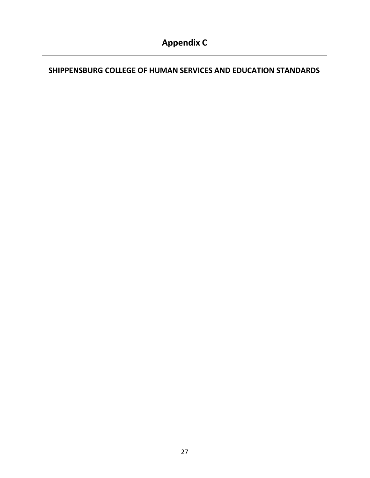### <span id="page-26-0"></span>**SHIPPENSBURG COLLEGE OF HUMAN SERVICES AND EDUCATION STANDARDS**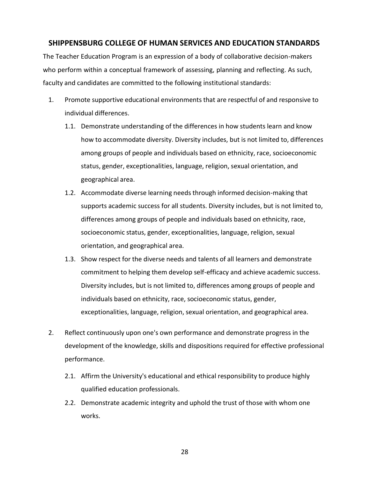#### **SHIPPENSBURG COLLEGE OF HUMAN SERVICES AND EDUCATION STANDARDS**

The Teacher Education Program is an expression of a body of collaborative decision-makers who perform within a conceptual framework of assessing, planning and reflecting. As such, faculty and candidates are committed to the following institutional standards:

- 1. Promote supportive educational environments that are respectful of and responsive to individual differences.
	- 1.1. Demonstrate understanding of the differences in how students learn and know how to accommodate diversity. Diversity includes, but is not limited to, differences among groups of people and individuals based on ethnicity, race, socioeconomic status, gender, exceptionalities, language, religion, sexual orientation, and geographical area.
	- 1.2. Accommodate diverse learning needsthrough informed decision-making that supports academic success for all students. Diversity includes, but is not limited to, differences among groups of people and individuals based on ethnicity, race, socioeconomic status, gender, exceptionalities, language, religion, sexual orientation, and geographical area.
	- 1.3. Show respect for the diverse needs and talents of all learners and demonstrate commitment to helping them develop self-efficacy and achieve academic success. Diversity includes, but is not limited to, differences among groups of people and individuals based on ethnicity, race, socioeconomic status, gender, exceptionalities, language, religion, sexual orientation, and geographical area.
- 2. Reflect continuously upon one's own performance and demonstrate progress in the development of the knowledge, skills and dispositions required for effective professional performance.
	- 2.1. Affirm the University's educational and ethical responsibility to produce highly qualified education professionals.
	- 2.2. Demonstrate academic integrity and uphold the trust of those with whom one works.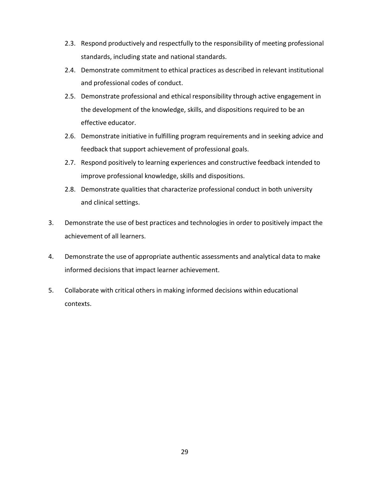- 2.3. Respond productively and respectfully to the responsibility of meeting professional standards, including state and national standards.
- 2.4. Demonstrate commitment to ethical practices as described in relevant institutional and professional codes of conduct.
- 2.5. Demonstrate professional and ethical responsibility through active engagement in the development of the knowledge, skills, and dispositions required to be an effective educator.
- 2.6. Demonstrate initiative in fulfilling program requirements and in seeking advice and feedback that support achievement of professional goals.
- 2.7. Respond positively to learning experiences and constructive feedback intended to improve professional knowledge, skills and dispositions.
- 2.8. Demonstrate qualities that characterize professional conduct in both university and clinical settings.
- 3. Demonstrate the use of best practices and technologies in order to positively impact the achievement of all learners.
- 4. Demonstrate the use of appropriate authentic assessments and analytical data to make informed decisions that impact learner achievement.
- 5. Collaborate with critical others in making informed decisions within educational contexts.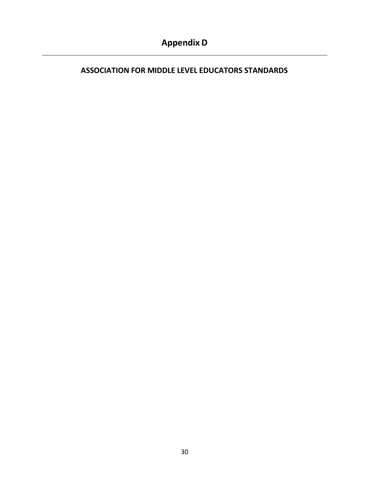### <span id="page-29-0"></span>**ASSOCIATION FOR MIDDLE LEVEL EDUCATORS STANDARDS**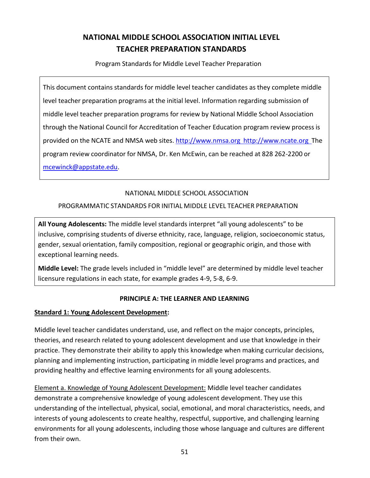### **NATIONAL MIDDLE SCHOOL ASSOCIATION INITIAL LEVEL TEACHER PREPARATION STANDARDS**

Program Standards for Middle Level Teacher Preparation

This document contains standards for middle level teacher candidates as they complete middle level teacher preparation programs at the initial level. Information regarding submission of middle level teacher preparation programs for review by National Middle School Association through the National Council for Accreditation of Teacher Education program review process is provided on the NCATE and NMSA web sites. [http://www.nmsa.org](http://www.nmsa.org/) [http://www.ncate.org](http://www.nmsa.org/) The program review coordinator for NMSA, Dr. Ken McEwin, can be reached at 828 262-2200 or [mcewinck@appstate.edu.](mailto:mcewinck@appstate.edu)

#### NATIONAL MIDDLE SCHOOL ASSOCIATION

#### PROGRAMMATIC STANDARDS FOR INITIAL MIDDLE LEVEL TEACHER PREPARATION

**All Young Adolescents:** The middle level standards interpret "all young adolescents" to be inclusive, comprising students of diverse ethnicity, race, language, religion, socioeconomic status, gender, sexual orientation, family composition, regional or geographic origin, and those with exceptional learning needs.

**Middle Level:** The grade levels included in "middle level" are determined by middle level teacher licensure regulations in each state, for example grades 4-9, 5-8, 6-9.

#### **PRINCIPLE A: THE LEARNER AND LEARNING**

#### **Standard 1: Young Adolescent Development:**

Middle level teacher candidates understand, use, and reflect on the major concepts, principles, theories, and research related to young adolescent development and use that knowledge in their practice. They demonstrate their ability to apply this knowledge when making curricular decisions, planning and implementing instruction, participating in middle level programs and practices, and providing healthy and effective learning environments for all young adolescents.

Element a. Knowledge of Young Adolescent Development: Middle level teacher candidates demonstrate a comprehensive knowledge of young adolescent development. They use this understanding of the intellectual, physical, social, emotional, and moral characteristics, needs, and interests of young adolescents to create healthy, respectful, supportive, and challenging learning environments for all young adolescents, including those whose language and cultures are different from their own.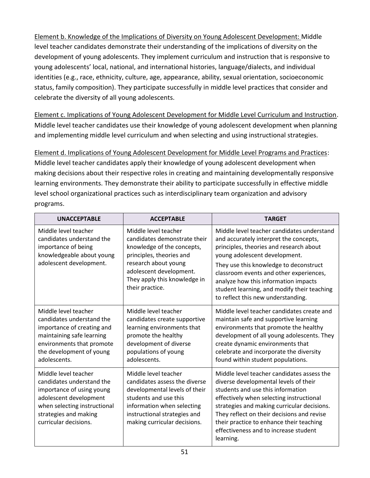Element b. Knowledge of the Implications of Diversity on Young Adolescent Development: Middle level teacher candidates demonstrate their understanding of the implications of diversity on the development of young adolescents. They implement curriculum and instruction that is responsive to young adolescents' local, national, and international histories, language/dialects, and individual identities (e.g., race, ethnicity, culture, age, appearance, ability, sexual orientation, socioeconomic status, family composition). They participate successfully in middle level practices that consider and celebrate the diversity of all young adolescents.

Element c. Implications of Young Adolescent Development for Middle Level Curriculum and Instruction. Middle level teacher candidates use their knowledge of young adolescent development when planning and implementing middle level curriculum and when selecting and using instructional strategies.

Element d. Implications of Young Adolescent Development for Middle Level Programs and Practices: Middle level teacher candidates apply their knowledge of young adolescent development when making decisions about their respective roles in creating and maintaining developmentally responsive learning environments. They demonstrate their ability to participate successfully in effective middle level school organizational practices such as interdisciplinary team organization and advisory programs.

| <b>UNACCEPTABLE</b>                                                                                                                                                                        | <b>ACCEPTABLE</b>                                                                                                                                                                                                    | <b>TARGET</b>                                                                                                                                                                                                                                                                                                                                                                      |
|--------------------------------------------------------------------------------------------------------------------------------------------------------------------------------------------|----------------------------------------------------------------------------------------------------------------------------------------------------------------------------------------------------------------------|------------------------------------------------------------------------------------------------------------------------------------------------------------------------------------------------------------------------------------------------------------------------------------------------------------------------------------------------------------------------------------|
| Middle level teacher<br>candidates understand the<br>importance of being<br>knowledgeable about young<br>adolescent development.                                                           | Middle level teacher<br>candidates demonstrate their<br>knowledge of the concepts,<br>principles, theories and<br>research about young<br>adolescent development.<br>They apply this knowledge in<br>their practice. | Middle level teacher candidates understand<br>and accurately interpret the concepts,<br>principles, theories and research about<br>young adolescent development.<br>They use this knowledge to deconstruct<br>classroom events and other experiences,<br>analyze how this information impacts<br>student learning, and modify their teaching<br>to reflect this new understanding. |
| Middle level teacher<br>candidates understand the<br>importance of creating and<br>maintaining safe learning<br>environments that promote<br>the development of young<br>adolescents.      | Middle level teacher<br>candidates create supportive<br>learning environments that<br>promote the healthy<br>development of diverse<br>populations of young<br>adolescents.                                          | Middle level teacher candidates create and<br>maintain safe and supportive learning<br>environments that promote the healthy<br>development of all young adolescents. They<br>create dynamic environments that<br>celebrate and incorporate the diversity<br>found within student populations.                                                                                     |
| Middle level teacher<br>candidates understand the<br>importance of using young<br>adolescent development<br>when selecting instructional<br>strategies and making<br>curricular decisions. | Middle level teacher<br>candidates assess the diverse<br>developmental levels of their<br>students and use this<br>information when selecting<br>instructional strategies and<br>making curricular decisions.        | Middle level teacher candidates assess the<br>diverse developmental levels of their<br>students and use this information<br>effectively when selecting instructional<br>strategies and making curricular decisions.<br>They reflect on their decisions and revise<br>their practice to enhance their teaching<br>effectiveness and to increase student<br>learning.                |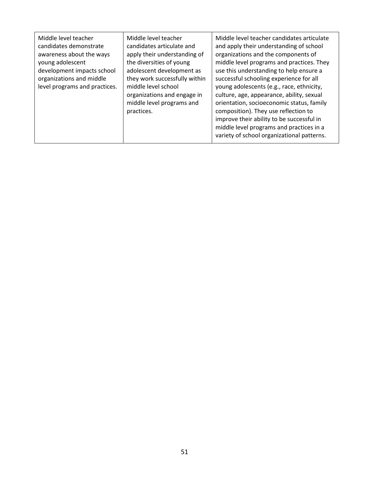| Middle level teacher<br>Middle level teacher<br>candidates articulate and<br>candidates demonstrate<br>apply their understanding of<br>awareness about the ways<br>the diversities of young<br>young adolescent<br>adolescent development as<br>development impacts school<br>they work successfully within<br>organizations and middle<br>middle level school<br>level programs and practices.<br>organizations and engage in<br>middle level programs and<br>practices. | Middle level teacher candidates articulate<br>and apply their understanding of school<br>organizations and the components of<br>middle level programs and practices. They<br>use this understanding to help ensure a<br>successful schooling experience for all<br>young adolescents (e.g., race, ethnicity,<br>culture, age, appearance, ability, sexual<br>orientation, socioeconomic status, family<br>composition). They use reflection to<br>improve their ability to be successful in<br>middle level programs and practices in a<br>variety of school organizational patterns. |
|---------------------------------------------------------------------------------------------------------------------------------------------------------------------------------------------------------------------------------------------------------------------------------------------------------------------------------------------------------------------------------------------------------------------------------------------------------------------------|---------------------------------------------------------------------------------------------------------------------------------------------------------------------------------------------------------------------------------------------------------------------------------------------------------------------------------------------------------------------------------------------------------------------------------------------------------------------------------------------------------------------------------------------------------------------------------------|
|---------------------------------------------------------------------------------------------------------------------------------------------------------------------------------------------------------------------------------------------------------------------------------------------------------------------------------------------------------------------------------------------------------------------------------------------------------------------------|---------------------------------------------------------------------------------------------------------------------------------------------------------------------------------------------------------------------------------------------------------------------------------------------------------------------------------------------------------------------------------------------------------------------------------------------------------------------------------------------------------------------------------------------------------------------------------------|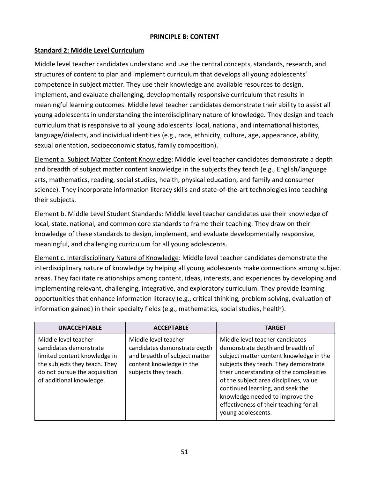#### **PRINCIPLE B: CONTENT**

#### **Standard 2: Middle Level Curriculum**

Middle level teacher candidates understand and use the central concepts, standards, research, and structures of content to plan and implement curriculum that develops all young adolescents' competence in subject matter. They use their knowledge and available resources to design, implement, and evaluate challenging, developmentally responsive curriculum that results in meaningful learning outcomes. Middle level teacher candidates demonstrate their ability to assist all young adolescents in understanding the interdisciplinary nature of knowledge*.* They design and teach curriculum that is responsive to all young adolescents' local, national, and international histories, language/dialects, and individual identities (e.g., race, ethnicity, culture, age, appearance, ability, sexual orientation, socioeconomic status, family composition).

Element a. Subject Matter Content Knowledge: Middle level teacher candidates demonstrate a depth and breadth of subject matter content knowledge in the subjects they teach (e.g., English/language arts, mathematics, reading, social studies, health, physical education, and family and consumer science). They incorporate information literacy skills and state-of-the-art technologies into teaching their subjects.

Element b. Middle Level Student Standards: Middle level teacher candidates use their knowledge of local, state, national, and common core standards to frame their teaching. They draw on their knowledge of these standards to design, implement, and evaluate developmentally responsive, meaningful, and challenging curriculum for all young adolescents.

Element c. Interdisciplinary Nature of Knowledge: Middle level teacher candidates demonstrate the interdisciplinary nature of knowledge by helping all young adolescents make connections among subject areas. They facilitate relationships among content, ideas, interests, and experiences by developing and implementing relevant, challenging, integrative, and exploratory curriculum. They provide learning opportunities that enhance information literacy (e.g., critical thinking, problem solving, evaluation of information gained) in their specialty fields (e.g., mathematics, social studies, health).

| <b>UNACCEPTABLE</b>                                                                                                                                                          | <b>ACCEPTABLE</b>                                                                                                                         | <b>TARGET</b>                                                                                                                                                                                                                                                                                                                                                                        |
|------------------------------------------------------------------------------------------------------------------------------------------------------------------------------|-------------------------------------------------------------------------------------------------------------------------------------------|--------------------------------------------------------------------------------------------------------------------------------------------------------------------------------------------------------------------------------------------------------------------------------------------------------------------------------------------------------------------------------------|
| Middle level teacher<br>candidates demonstrate<br>limited content knowledge in<br>the subjects they teach. They<br>do not pursue the acquisition<br>of additional knowledge. | Middle level teacher<br>candidates demonstrate depth<br>and breadth of subject matter<br>content knowledge in the<br>subjects they teach. | Middle level teacher candidates<br>demonstrate depth and breadth of<br>subject matter content knowledge in the<br>subjects they teach. They demonstrate<br>their understanding of the complexities<br>of the subject area disciplines, value<br>continued learning, and seek the<br>knowledge needed to improve the<br>effectiveness of their teaching for all<br>young adolescents. |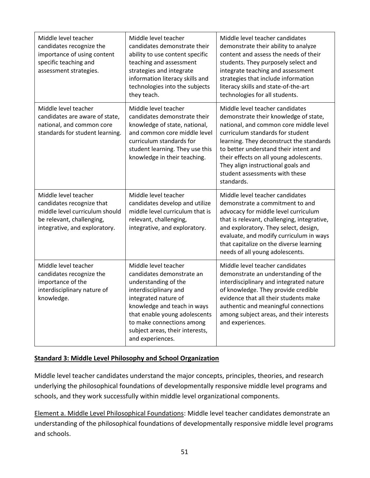| Middle level teacher<br>candidates recognize the<br>importance of using content<br>specific teaching and<br>assessment strategies.                | Middle level teacher<br>candidates demonstrate their<br>ability to use content specific<br>teaching and assessment<br>strategies and integrate<br>information literacy skills and<br>technologies into the subjects<br>they teach.                                             | Middle level teacher candidates<br>demonstrate their ability to analyze<br>content and assess the needs of their<br>students. They purposely select and<br>integrate teaching and assessment<br>strategies that include information<br>literacy skills and state-of-the-art<br>technologies for all students.                                                                |
|---------------------------------------------------------------------------------------------------------------------------------------------------|--------------------------------------------------------------------------------------------------------------------------------------------------------------------------------------------------------------------------------------------------------------------------------|------------------------------------------------------------------------------------------------------------------------------------------------------------------------------------------------------------------------------------------------------------------------------------------------------------------------------------------------------------------------------|
| Middle level teacher<br>candidates are aware of state,<br>national, and common core<br>standards for student learning.                            | Middle level teacher<br>candidates demonstrate their<br>knowledge of state, national,<br>and common core middle level<br>curriculum standards for<br>student learning. They use this<br>knowledge in their teaching.                                                           | Middle level teacher candidates<br>demonstrate their knowledge of state,<br>national, and common core middle level<br>curriculum standards for student<br>learning. They deconstruct the standards<br>to better understand their intent and<br>their effects on all young adolescents.<br>They align instructional goals and<br>student assessments with these<br>standards. |
| Middle level teacher<br>candidates recognize that<br>middle level curriculum should<br>be relevant, challenging,<br>integrative, and exploratory. | Middle level teacher<br>candidates develop and utilize<br>middle level curriculum that is<br>relevant, challenging,<br>integrative, and exploratory.                                                                                                                           | Middle level teacher candidates<br>demonstrate a commitment to and<br>advocacy for middle level curriculum<br>that is relevant, challenging, integrative,<br>and exploratory. They select, design,<br>evaluate, and modify curriculum in ways<br>that capitalize on the diverse learning<br>needs of all young adolescents.                                                  |
| Middle level teacher<br>candidates recognize the<br>importance of the<br>interdisciplinary nature of<br>knowledge.                                | Middle level teacher<br>candidates demonstrate an<br>understanding of the<br>interdisciplinary and<br>integrated nature of<br>knowledge and teach in ways<br>that enable young adolescents<br>to make connections among<br>subject areas, their interests,<br>and experiences. | Middle level teacher candidates<br>demonstrate an understanding of the<br>interdisciplinary and integrated nature<br>of knowledge. They provide credible<br>evidence that all their students make<br>authentic and meaningful connections<br>among subject areas, and their interests<br>and experiences.                                                                    |

#### **Standard 3: Middle Level Philosophy and School Organization**

Middle level teacher candidates understand the major concepts, principles, theories, and research underlying the philosophical foundations of developmentally responsive middle level programs and schools, and they work successfully within middle level organizational components.

Element a. Middle Level Philosophical Foundations: Middle level teacher candidates demonstrate an understanding of the philosophical foundations of developmentally responsive middle level programs and schools.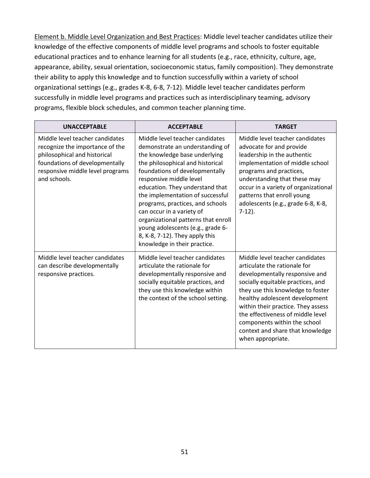Element b. Middle Level Organization and Best Practices: Middle level teacher candidates utilize their knowledge of the effective components of middle level programs and schools to foster equitable educational practices and to enhance learning for all students (e.g., race, ethnicity, culture, age, appearance, ability, sexual orientation, socioeconomic status, family composition). They demonstrate their ability to apply this knowledge and to function successfully within a variety of school organizational settings (e.g., grades K-8, 6-8, 7-12). Middle level teacher candidates perform successfully in middle level programs and practices such as interdisciplinary teaming, advisory programs, flexible block schedules, and common teacher planning time.

| <b>UNACCEPTABLE</b>                                                                                                                                                                      | <b>ACCEPTABLE</b>                                                                                                                                                                                                                                                                                                                                                                                                                                                                          | <b>TARGET</b>                                                                                                                                                                                                                                                                                                                                                                     |
|------------------------------------------------------------------------------------------------------------------------------------------------------------------------------------------|--------------------------------------------------------------------------------------------------------------------------------------------------------------------------------------------------------------------------------------------------------------------------------------------------------------------------------------------------------------------------------------------------------------------------------------------------------------------------------------------|-----------------------------------------------------------------------------------------------------------------------------------------------------------------------------------------------------------------------------------------------------------------------------------------------------------------------------------------------------------------------------------|
| Middle level teacher candidates<br>recognize the importance of the<br>philosophical and historical<br>foundations of developmentally<br>responsive middle level programs<br>and schools. | Middle level teacher candidates<br>demonstrate an understanding of<br>the knowledge base underlying<br>the philosophical and historical<br>foundations of developmentally<br>responsive middle level<br>education. They understand that<br>the implementation of successful<br>programs, practices, and schools<br>can occur in a variety of<br>organizational patterns that enroll<br>young adolescents (e.g., grade 6-<br>8, K-8, 7-12). They apply this<br>knowledge in their practice. | Middle level teacher candidates<br>advocate for and provide<br>leadership in the authentic<br>implementation of middle school<br>programs and practices,<br>understanding that these may<br>occur in a variety of organizational<br>patterns that enroll young<br>adolescents (e.g., grade 6-8, K-8,<br>$7-12$ ).                                                                 |
| Middle level teacher candidates<br>can describe developmentally<br>responsive practices.                                                                                                 | Middle level teacher candidates<br>articulate the rationale for<br>developmentally responsive and<br>socially equitable practices, and<br>they use this knowledge within<br>the context of the school setting.                                                                                                                                                                                                                                                                             | Middle level teacher candidates<br>articulate the rationale for<br>developmentally responsive and<br>socially equitable practices, and<br>they use this knowledge to foster<br>healthy adolescent development<br>within their practice. They assess<br>the effectiveness of middle level<br>components within the school<br>context and share that knowledge<br>when appropriate. |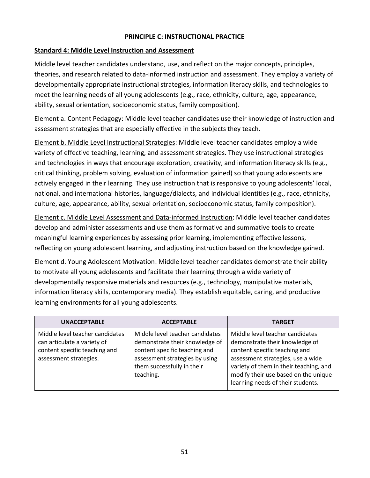#### **PRINCIPLE C: INSTRUCTIONAL PRACTICE**

#### **Standard 4: Middle Level Instruction and Assessment**

Middle level teacher candidates understand, use, and reflect on the major concepts, principles, theories, and research related to data-informed instruction and assessment. They employ a variety of developmentally appropriate instructional strategies, information literacy skills, and technologies to meet the learning needs of all young adolescents (e.g., race, ethnicity, culture, age, appearance, ability, sexual orientation, socioeconomic status, family composition).

Element a. Content Pedagogy: Middle level teacher candidates use their knowledge of instruction and assessment strategies that are especially effective in the subjects they teach.

Element b. Middle Level Instructional Strategies: Middle level teacher candidates employ a wide variety of effective teaching, learning, and assessment strategies. They use instructional strategies and technologies in ways that encourage exploration, creativity, and information literacy skills (e.g., critical thinking, problem solving, evaluation of information gained) so that young adolescents are actively engaged in their learning. They use instruction that is responsive to young adolescents' local, national, and international histories, language/dialects, and individual identities (e.g., race, ethnicity, culture, age, appearance, ability, sexual orientation, socioeconomic status, family composition).

Element c. Middle Level Assessment and Data-informed Instruction: Middle level teacher candidates develop and administer assessments and use them as formative and summative tools to create meaningful learning experiences by assessing prior learning, implementing effective lessons, reflecting on young adolescent learning, and adjusting instruction based on the knowledge gained.

Element d. Young Adolescent Motivation: Middle level teacher candidates demonstrate their ability to motivate all young adolescents and facilitate their learning through a wide variety of developmentally responsive materials and resources (e.g., technology, manipulative materials, information literacy skills, contemporary media). They establish equitable, caring, and productive learning environments for all young adolescents.

| <b>UNACCEPTABLE</b>                                                                                                       | <b>ACCEPTABLE</b>                                                                                                                                                               | <b>TARGET</b>                                                                                                                                                                                                                                                  |
|---------------------------------------------------------------------------------------------------------------------------|---------------------------------------------------------------------------------------------------------------------------------------------------------------------------------|----------------------------------------------------------------------------------------------------------------------------------------------------------------------------------------------------------------------------------------------------------------|
| Middle level teacher candidates<br>can articulate a variety of<br>content specific teaching and<br>assessment strategies. | Middle level teacher candidates<br>demonstrate their knowledge of<br>content specific teaching and<br>assessment strategies by using<br>them successfully in their<br>teaching. | Middle level teacher candidates<br>demonstrate their knowledge of<br>content specific teaching and<br>assessment strategies, use a wide<br>variety of them in their teaching, and<br>modify their use based on the unique<br>learning needs of their students. |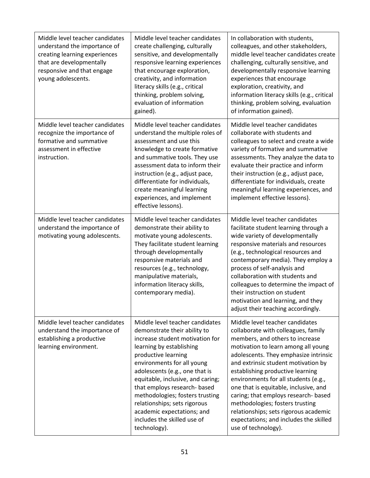| Middle level teacher candidates<br>understand the importance of<br>creating learning experiences<br>that are developmentally<br>responsive and that engage<br>young adolescents. | Middle level teacher candidates<br>create challenging, culturally<br>sensitive, and developmentally<br>responsive learning experiences<br>that encourage exploration,<br>creativity, and information<br>literacy skills (e.g., critical<br>thinking, problem solving,<br>evaluation of information<br>gained).                                                                                                                             | In collaboration with students,<br>colleagues, and other stakeholders,<br>middle level teacher candidates create<br>challenging, culturally sensitive, and<br>developmentally responsive learning<br>experiences that encourage<br>exploration, creativity, and<br>information literacy skills (e.g., critical<br>thinking, problem solving, evaluation<br>of information gained).                                                                                                                                                         |
|----------------------------------------------------------------------------------------------------------------------------------------------------------------------------------|--------------------------------------------------------------------------------------------------------------------------------------------------------------------------------------------------------------------------------------------------------------------------------------------------------------------------------------------------------------------------------------------------------------------------------------------|--------------------------------------------------------------------------------------------------------------------------------------------------------------------------------------------------------------------------------------------------------------------------------------------------------------------------------------------------------------------------------------------------------------------------------------------------------------------------------------------------------------------------------------------|
| Middle level teacher candidates<br>recognize the importance of<br>formative and summative<br>assessment in effective<br>instruction.                                             | Middle level teacher candidates<br>understand the multiple roles of<br>assessment and use this<br>knowledge to create formative<br>and summative tools. They use<br>assessment data to inform their<br>instruction (e.g., adjust pace,<br>differentiate for individuals,<br>create meaningful learning<br>experiences, and implement<br>effective lessons).                                                                                | Middle level teacher candidates<br>collaborate with students and<br>colleagues to select and create a wide<br>variety of formative and summative<br>assessments. They analyze the data to<br>evaluate their practice and inform<br>their instruction (e.g., adjust pace,<br>differentiate for individuals, create<br>meaningful learning experiences, and<br>implement effective lessons).                                                                                                                                                 |
| Middle level teacher candidates<br>understand the importance of<br>motivating young adolescents.                                                                                 | Middle level teacher candidates<br>demonstrate their ability to<br>motivate young adolescents.<br>They facilitate student learning<br>through developmentally<br>responsive materials and<br>resources (e.g., technology,<br>manipulative materials,<br>information literacy skills,<br>contemporary media).                                                                                                                               | Middle level teacher candidates<br>facilitate student learning through a<br>wide variety of developmentally<br>responsive materials and resources<br>(e.g., technological resources and<br>contemporary media). They employ a<br>process of self-analysis and<br>collaboration with students and<br>colleagues to determine the impact of<br>their instruction on student<br>motivation and learning, and they<br>adjust their teaching accordingly.                                                                                       |
| Middle level teacher candidates<br>understand the importance of<br>establishing a productive<br>learning environment.                                                            | Middle level teacher candidates<br>demonstrate their ability to<br>increase student motivation for<br>learning by establishing<br>productive learning<br>environments for all young<br>adolescents (e.g., one that is<br>equitable, inclusive, and caring;<br>that employs research- based<br>methodologies; fosters trusting<br>relationships; sets rigorous<br>academic expectations; and<br>includes the skilled use of<br>technology). | Middle level teacher candidates<br>collaborate with colleagues, family<br>members, and others to increase<br>motivation to learn among all young<br>adolescents. They emphasize intrinsic<br>and extrinsic student motivation by<br>establishing productive learning<br>environments for all students (e.g.,<br>one that is equitable, inclusive, and<br>caring; that employs research- based<br>methodologies; fosters trusting<br>relationships; sets rigorous academic<br>expectations; and includes the skilled<br>use of technology). |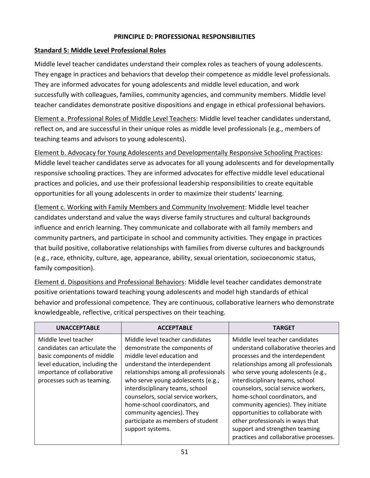#### **PRINCIPLE D: PROFESSIONAL RESPONSIBILITIES**

#### **Standard 5: Middle Level Professional Roles**

Middle level teacher candidates understand their complex roles as teachers of young adolescents. They engage in practices and behaviors that develop their competence as middle level professionals. They are informed advocates for young adolescents and middle level education, and work successfully with colleagues, families, community agencies, and community members. Middle level teacher candidates demonstrate positive dispositions and engage in ethical professional behaviors.

Element a. Professional Roles of Middle Level Teachers: Middle level teacher candidates understand, reflect on, and are successful in their unique roles as middle level professionals (e.g., members of teaching teams and advisors to young adolescents).

Element b. Advocacy for Young Adolescents and Developmentally Responsive Schooling Practices: Middle level teacher candidates serve as advocates for all young adolescents and for developmentally responsive schooling practices. They are informed advocates for effective middle level educational practices and policies, and use their professional leadership responsibilities to create equitable opportunities for all young adolescents in order to maximize their students' learning.

Element c. Working with Family Members and Community Involvement: Middle level teacher candidates understand and value the ways diverse family structures and cultural backgrounds influence and enrich learning. They communicate and collaborate with all family members and community partners, and participate in school and community activities. They engage in practices that build positive, collaborative relationships with families from diverse cultures and backgrounds (e.g., race, ethnicity, culture, age, appearance, ability, sexual orientation, socioeconomic status, family composition).

Element d. Dispositions and Professional Behaviors: Middle level teacher candidates demonstrate positive orientations toward teaching young adolescents and model high standards of ethical behavior and professional competence. They are continuous, collaborative learners who demonstrate knowledgeable, reflective, critical perspectives on their teaching.

| <b>UNACCEPTABLE</b>                                                                                                                                                                | <b>ACCEPTABLE</b>                                                                                                                                                                                                                                                                                                                                                                                               | TARGET                                                                                                                                                                                                                                                                                                                                                                                                                                                                                            |
|------------------------------------------------------------------------------------------------------------------------------------------------------------------------------------|-----------------------------------------------------------------------------------------------------------------------------------------------------------------------------------------------------------------------------------------------------------------------------------------------------------------------------------------------------------------------------------------------------------------|---------------------------------------------------------------------------------------------------------------------------------------------------------------------------------------------------------------------------------------------------------------------------------------------------------------------------------------------------------------------------------------------------------------------------------------------------------------------------------------------------|
| Middle level teacher<br>candidates can articulate the<br>basic components of middle<br>level education, including the<br>importance of collaborative<br>processes such as teaming. | Middle level teacher candidates<br>demonstrate the components of<br>middle level education and<br>understand the interdependent<br>relationships among all professionals<br>who serve young adolescents (e.g.,<br>interdisciplinary teams, school<br>counselors, social service workers,<br>home-school coordinators, and<br>community agencies). They<br>participate as members of student<br>support systems. | Middle level teacher candidates<br>understand collaborative theories and<br>processes and the interdependent<br>relationships among all professionals<br>who serve young adolescents (e.g.,<br>interdisciplinary teams, school<br>counselors, social service workers,<br>home-school coordinators, and<br>community agencies). They initiate<br>opportunities to collaborate with<br>other professionals in ways that<br>support and strengthen teaming<br>practices and collaborative processes. |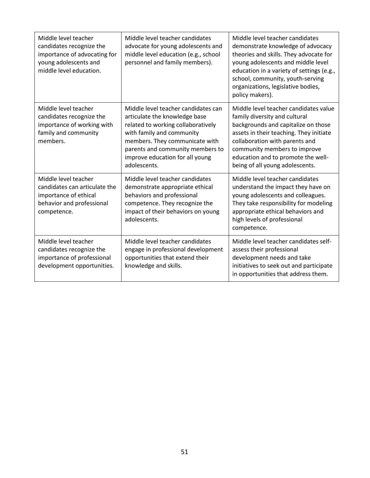| Middle level teacher<br>candidates recognize the<br>importance of advocating for<br>young adolescents and<br>middle level education. | Middle level teacher candidates<br>advocate for young adolescents and<br>middle level education (e.g., school<br>personnel and family members).                                                                                                                  | Middle level teacher candidates<br>demonstrate knowledge of advocacy<br>theories and skills. They advocate for<br>young adolescents and middle level<br>education in a variety of settings (e.g.,<br>school, community, youth-serving<br>organizations, legislative bodies,<br>policy makers).      |
|--------------------------------------------------------------------------------------------------------------------------------------|------------------------------------------------------------------------------------------------------------------------------------------------------------------------------------------------------------------------------------------------------------------|-----------------------------------------------------------------------------------------------------------------------------------------------------------------------------------------------------------------------------------------------------------------------------------------------------|
| Middle level teacher<br>candidates recognize the<br>importance of working with<br>family and community<br>members.                   | Middle level teacher candidates can<br>articulate the knowledge base<br>related to working collaboratively<br>with family and community<br>members. They communicate with<br>parents and community members to<br>improve education for all young<br>adolescents. | Middle level teacher candidates value<br>family diversity and cultural<br>backgrounds and capitalize on those<br>assets in their teaching. They initiate<br>collaboration with parents and<br>community members to improve<br>education and to promote the well-<br>being of all young adolescents. |
| Middle level teacher<br>candidates can articulate the<br>importance of ethical<br>behavior and professional<br>competence.           | Middle level teacher candidates<br>demonstrate appropriate ethical<br>behaviors and professional<br>competence. They recognize the<br>impact of their behaviors on young<br>adolescents.                                                                         | Middle level teacher candidates<br>understand the impact they have on<br>young adolescents and colleagues.<br>They take responsibility for modeling<br>appropriate ethical behaviors and<br>high levels of professional<br>competence.                                                              |
| Middle level teacher<br>candidates recognize the<br>importance of professional<br>development opportunities.                         | Middle level teacher candidates<br>engage in professional development<br>opportunities that extend their<br>knowledge and skills.                                                                                                                                | Middle level teacher candidates self-<br>assess their professional<br>development needs and take<br>initiatives to seek out and participate<br>in opportunities that address them.                                                                                                                  |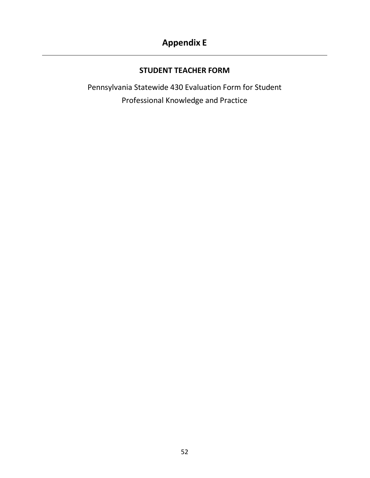### <span id="page-40-0"></span>**Appendix E**

#### **STUDENT TEACHER FORM**

Pennsylvania Statewide 430 Evaluation Form for Student Professional Knowledge and Practice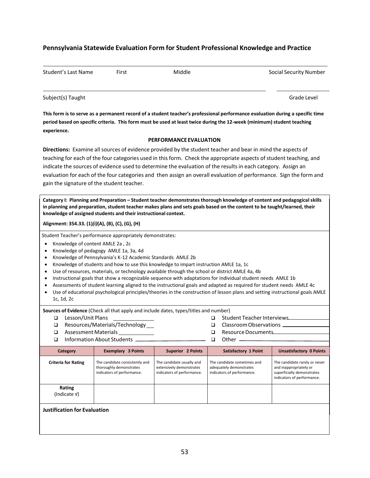#### **Pennsylvania Statewide Evaluation Form for Student Professional Knowledge and Practice**

| Student's Last Name                        | First | Middle                 | Social Security Number                                                                                                                                                                                                                                                                                                                                   |
|--------------------------------------------|-------|------------------------|----------------------------------------------------------------------------------------------------------------------------------------------------------------------------------------------------------------------------------------------------------------------------------------------------------------------------------------------------------|
| Subject(s) Taught                          |       |                        | Grade Level                                                                                                                                                                                                                                                                                                                                              |
| experience.                                |       |                        | This form is to serve as a permanent record of a student teacher's professional performance evaluation during a specific time<br>period based on specific criteria. This form must be used at least twice during the 12-week (minimum) student teaching                                                                                                  |
|                                            |       | PERFORMANCE EVALUATION |                                                                                                                                                                                                                                                                                                                                                          |
|                                            |       |                        | Directions: Examine all sources of evidence provided by the student teacher and bear in mind the aspects of                                                                                                                                                                                                                                              |
| gain the signature of the student teacher. |       |                        | teaching for each of the four categories used in this form. Check the appropriate aspects of student teaching, and<br>indicate the sources of evidence used to determine the evaluation of the results in each category. Assign an<br>evaluation for each of the four categories and then assign an overall evaluation of performance. Sign the form and |

**Category I: Planning and Preparation – Student teacher demonstrates thorough knowledge of content and pedagogicalskills** in planning and preparation, student teacher makes plans and sets goals based on the content to be taught/learned, their **knowledge of assigned students and their instructional context.**

**Alignment: 354.33. (1)***(i)***(A), (B), (C), (G), (H)**

Student Teacher's performance appropriately demonstrates:

- Knowledge of content AMLE 2a , 2c
- Knowledge of pedagogy AMLE 1a, 3a, 4d
- Knowledge of Pennsylvania's K-12 Academic Standards AMLE 2b
- Knowledge of students and how to use this knowledge to impart instruction AMLE 1a, 1c
- Use of resources, materials, or technology available through the school or district AMLE 4a, 4b
- Instructional goals that show a recognizable sequence with adaptations for individual student needs AMLE 1b
- Assessments of student learning aligned to the instructional goals and adapted as required for student needs AMLE 4c
- Use of educational psychological principles/theories in the construction of lesson plans and setting instructional goals AMLE 1c, 1d, 2c

**Sources of Evidence** (Check all that apply and include dates, types/titles and number)

Lesson/Unit Plans

Assessment Materials

□ Resources/Materials/Technology

- □ Student Teacher Interviews □ Classroom Observations <u></u>
- -
- Information About Students \_

Resource Documents  $\Box$  Other  $\Box$ 

| Category                            | <b>Exemplary 3 Points</b>                                                               | <b>Superior 2 Points</b>                                                            | <b>Satisfactory 1 Point</b>                                                          | <b>Unsatisfactory 0 Points</b>                                                                                      |
|-------------------------------------|-----------------------------------------------------------------------------------------|-------------------------------------------------------------------------------------|--------------------------------------------------------------------------------------|---------------------------------------------------------------------------------------------------------------------|
| <b>Criteria for Rating</b>          | The candidate consistently and<br>thoroughly demonstrates<br>indicators of performance. | The candidate usually and<br>extensively demonstrates<br>indicators of performance. | The candidate sometimes and<br>adequately demonstrates<br>indicators of performance. | The candidate rarely or never<br>and inappropriately or<br>superficially demonstrates<br>indicators of performance. |
| Rating<br>(Indicate V)              |                                                                                         |                                                                                     |                                                                                      |                                                                                                                     |
| <b>Justification for Evaluation</b> |                                                                                         |                                                                                     |                                                                                      |                                                                                                                     |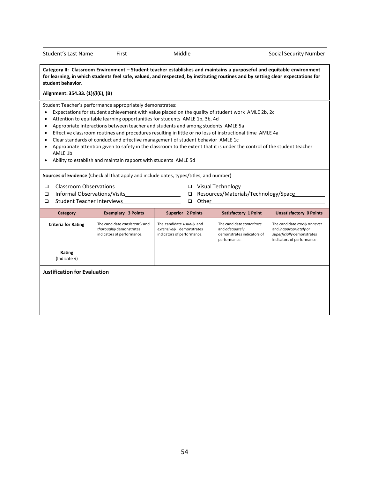Student's Last Name First First Middle Middle Social Security Number

**Category II: Classroom Environment – Student teacher establishes and maintains a purposeful and equitable environment** for learning, in which students feel safe, valued, and respected, by instituting routines and by setting clear expectations for **student behavior.**

**Alignment: 354.33. (1)***(i)***(E), (B)**

Student Teacher's performance appropriately demonstrates:

- Expectations for student achievement with value placed on the quality of student work AMLE 2b, 2c
- Attention to equitable learning opportunities for students AMLE 1b, 3b, 4d
- Appropriate interactions between teacher and students and among students AMLE 5a
- Effective classroom routines and procedures resulting in little or no loss of instructional time AMLE 4a
- Clear standards of conduct and effective management of student behavior AMLE 1c
- Appropriate attention given to safety in the classroom to the extent that it is under the control of the student teacher AMLE 1b
- Ability to establish and maintain rapport with students AMLE 5d

**Sources of Evidence** (Check all that apply and include dates, types/titles, and number)

- Classroom Observations Visual Technology
- 
- □ Student Teacher Interviews □ Other
- 
- □ Informal Observations/Visits <u>National Buseau Density Besources/Materials/Technology/Space</u>
- **Category Exemplary 3 Points Superior 2 Points Satisfactory 1 Point Unsatisfactory 0 Points Criteria for Rating** The candidate *consistently* and *thoroughly* demonstrates indicators of performance. The candidate *usually* and *extensively* demonstrates indicators of performance. The candidate *sometimes* and *adequately* demonstrates indicators of performance. The candidate *rarely* or *never* and *inappropriately or superficially* demonstrates indicators of performance. **Rating** (Indicate √) **Justification for Evaluation**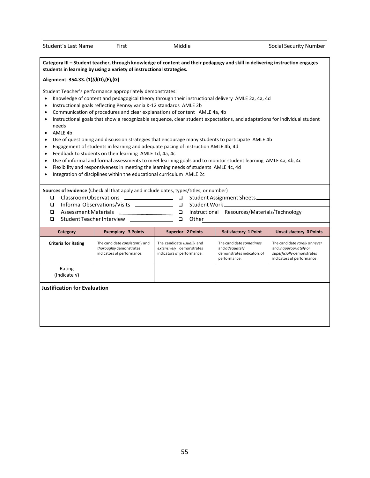Category III - Student teacher, through knowledge of content and their pedagogy and skill in delivering instruction engages **students in learning by using a variety of instructionalstrategies. Alignment: 354.33. (1)***(i)***(D),(F),(G)** Student Teacher's performance appropriately demonstrates: • Knowledge of content and pedagogical theory through their instructional delivery AMLE 2a, 4a, 4d • Instructional goals reflecting Pennsylvania K-12 standards AMLE 2b Communication of procedures and clear explanations of content AMLE 4a, 4b Instructional goals that show a recognizable sequence, clear student expectations, and adaptations for individual student needs • AMLE 4b Use of questioning and discussion strategies that encourage many students to participate AMLE 4b Engagement of students in learning and adequate pacing of instruction AMLE 4b, 4d Feedback to students on their learning AMLE 1d, 4a, 4c Use of informal and formal assessments to meet learning goals and to monitor student learning AMLE 4a, 4b, 4c Flexibility and responsiveness in meeting the learning needs of students AMLE 4c, 4d • Integration of disciplines within the educational curriculum AMLE 2c **Sources of Evidence** (Check all that apply and include dates, types/titles, or number) □ Classroom Observations □ □ Informal Observations/Visits \_\_\_\_\_\_\_\_\_\_\_\_\_\_\_ □ Student Work □ Assessment Materials \_ □ Student Teacher Interview <u>\_\_\_\_\_</u> **Student Assignment Sheets**  Instructional Resources/Materials/Technology  $\Box$   $\Box$  Other **Category Exemplary 3 Points Superior 2 Points Satisfactory 1 Point Unsatisfactory 0 Points Criteria for Rating** The candidate *consistently* and *thoroughly* demonstrates indicators of performance. The candidate *usually* and *extensively* demonstrates indicators of performance. The candidate *sometimes* and *adequately* demonstrates indicators of performance. The candidate *rarely* or *never* and *inappropriately or superficially* demonstrates indicators of performance.

**Justification for Evaluation**

Rating (Indicate √)

55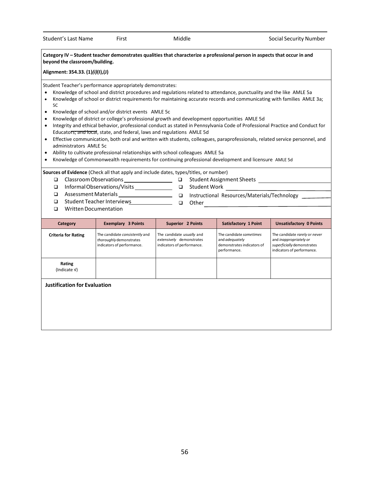#### Category IV - Student teacher demonstrates qualities that characterize a professional person in aspects that occur in and **beyond the classroom/building.**

**Alignment: 354.33. (1)***(i)***(I),(J)**

Student Teacher's performance appropriately demonstrates:

- Knowledge of school and district procedures and regulations related to attendance, punctuality and the like AMLE 5a
- Knowledge of school or district requirements for maintaining accurate records and communicating with families AMLE 3a; 5C
- Knowledge of school and/or district events AMLE 5c
- Knowledge of district or college's professional growth and development opportunities AMLE 5d
- Integrity and ethical behavior, professional conduct as stated in Pennsylvania Code of Professional Practice and Conduct for Educators; and local, state, and federal, laws and regulations AMLE 5d
- Effective communication, both oral and written with students, colleagues, paraprofessionals, related service personnel, and administrators AMLE 5c
- Ability to cultivate professional relationships with school colleagues AMLE 5a
- Knowledge of Commonwealth requirements for continuing professional development and licensure AMLE 5d

**Sources of Evidence** (Check all that apply and include dates, types/titles, or number)

- □ Classroom Observations
- InformalObservations/Visits Student Work
- 
- 

**Student Assignment Sheets Student Assignment Sheets** 

- Assessment Materials Instructional Resources/Materials/Technology
- Student TeacherInterviews Other
- □ Written Documentation

| Category                            | <b>Exemplary 3 Points</b>                                                               | <b>Superior 2 Points</b>                                                            | <b>Satisfactory 1 Point</b>                                                                    | <b>Unsatisfactory 0 Points</b>                                                                                      |
|-------------------------------------|-----------------------------------------------------------------------------------------|-------------------------------------------------------------------------------------|------------------------------------------------------------------------------------------------|---------------------------------------------------------------------------------------------------------------------|
| <b>Criteria for Rating</b>          | The candidate consistently and<br>thoroughly demonstrates<br>indicators of performance. | The candidate usually and<br>extensively demonstrates<br>indicators of performance. | The candidate sometimes<br>and <i>adequately</i><br>demonstrates indicators of<br>performance. | The candidate rarely or never<br>and inappropriately or<br>superficially demonstrates<br>indicators of performance. |
| Rating<br>(Indicate V)              |                                                                                         |                                                                                     |                                                                                                |                                                                                                                     |
| <b>Justification for Evaluation</b> |                                                                                         |                                                                                     |                                                                                                |                                                                                                                     |
|                                     |                                                                                         |                                                                                     |                                                                                                |                                                                                                                     |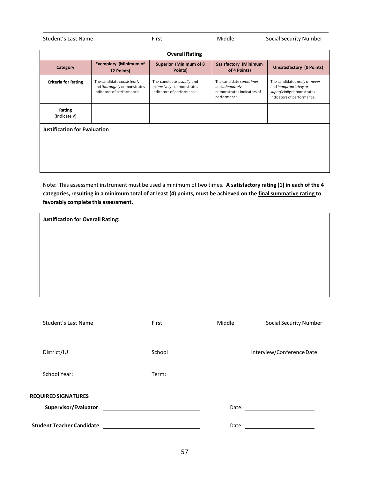| Student's Last Name | First | Middle | Social Security Number |
|---------------------|-------|--------|------------------------|
|                     |       |        |                        |

| <b>Overall Rating</b>               |                                                                                         |                                                                                     |                                                                                         |                                                                                                                     |
|-------------------------------------|-----------------------------------------------------------------------------------------|-------------------------------------------------------------------------------------|-----------------------------------------------------------------------------------------|---------------------------------------------------------------------------------------------------------------------|
| Category                            | <b>Exemplary (Minimum of</b><br>12 Points)                                              | Superior (Minimum of 8<br>Points)                                                   | <b>Satisfactory (Minimum</b><br>of 4 Points)                                            | <b>Unsatisfactory (0 Points)</b>                                                                                    |
| <b>Criteria for Rating</b>          | The candidate consistently<br>and thoroughly demonstrates<br>indicators of performance. | The candidate usually and<br>extensively demonstrates<br>indicators of performance. | The candidate sometimes<br>and adequately<br>demonstrates indicators of<br>performance. | The candidate rarely or never<br>and inappropriately or<br>superficially demonstrates<br>indicators of performance. |
| Rating<br>(Indicate V)              |                                                                                         |                                                                                     |                                                                                         |                                                                                                                     |
| <b>Justification for Evaluation</b> |                                                                                         |                                                                                     |                                                                                         |                                                                                                                     |
|                                     |                                                                                         |                                                                                     |                                                                                         |                                                                                                                     |

Note: This assessment instrument must be used a minimum of two times. **A satisfactory rating (1) in each of the 4** categories, resulting in a minimum total of at least (4) points, must be achieved on the final summative rating to **favorably complete this assessment.**

**Justification for Overall Rating:**

| Student's Last Name          | First                        | Middle | <b>Social Security Number</b>                                                                                                                                                                                                  |
|------------------------------|------------------------------|--------|--------------------------------------------------------------------------------------------------------------------------------------------------------------------------------------------------------------------------------|
|                              |                              |        |                                                                                                                                                                                                                                |
| District/IU                  | School                       |        | Interview/Conference Date                                                                                                                                                                                                      |
| School Year: 1988 March 2014 | Term: ______________________ |        |                                                                                                                                                                                                                                |
| <b>REQUIRED SIGNATURES</b>   |                              |        |                                                                                                                                                                                                                                |
|                              |                              |        |                                                                                                                                                                                                                                |
|                              |                              |        | Date: the contract of the contract of the contract of the contract of the contract of the contract of the contract of the contract of the contract of the contract of the contract of the contract of the contract of the cont |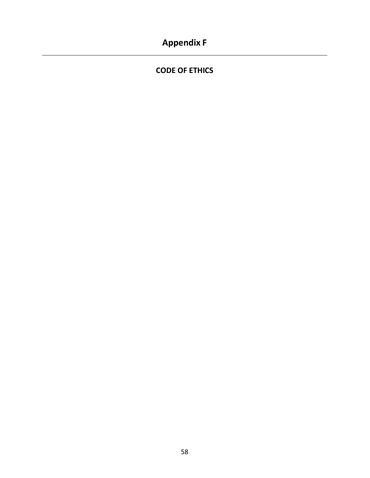### <span id="page-46-0"></span>**Appendix F**

**CODE OF ETHICS**